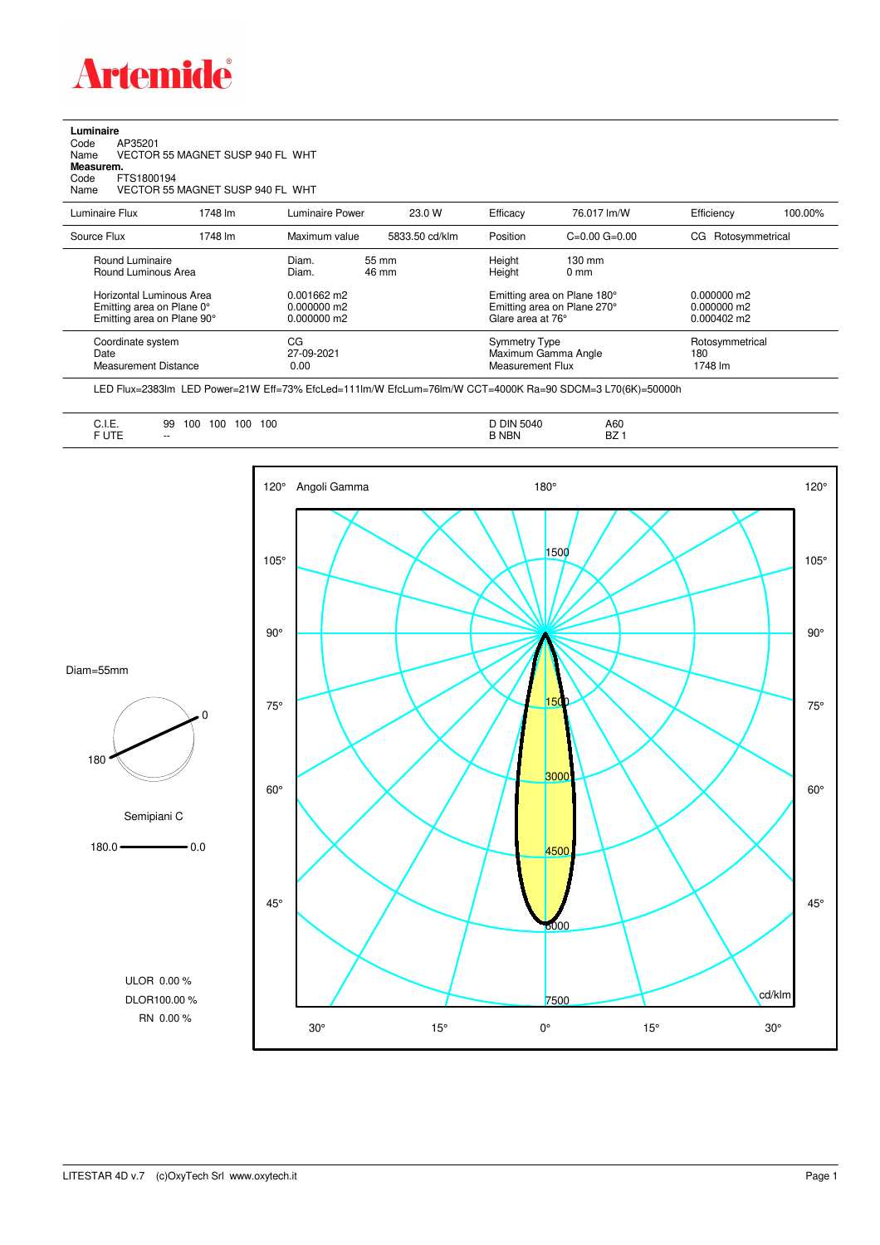

## **Luminaire**<br>Code<br>Name Code AP35201 Name VECTOR 55 MAGNET SUSP 940 FL WHT **Measurem.** Code FTS1800194 Name VECTOR 55 MAGNET SUSP 940 FL WHT

| Luminaire Flux                                                                      | 1748 lm | Luminaire Power                                 | 23.0 W         | Efficacy         | 76.017 lm/W                                                                     | Efficiency                        | 100.00% |
|-------------------------------------------------------------------------------------|---------|-------------------------------------------------|----------------|------------------|---------------------------------------------------------------------------------|-----------------------------------|---------|
| Source Flux                                                                         | 1748 lm | Maximum value                                   | 5833.50 cd/klm | Position         | $C=0.00$ $G=0.00$                                                               | CG Rotosymmetrical                |         |
| Round Luminaire<br>Round Luminous Area                                              |         | Diam.<br>Diam.                                  | 55 mm<br>46 mm | Height<br>Height | $130 \text{ mm}$<br>$0 \text{ mm}$                                              |                                   |         |
| Horizontal Luminous Area<br>Emitting area on Plane 0°<br>Emitting area on Plane 90° |         | $0.001662$ m2<br>$0.000000$ m2<br>$0.000000$ m2 |                |                  | Emitting area on Plane 180°<br>Emitting area on Plane 270°<br>Glare area at 76° |                                   |         |
| Coordinate system<br>Date<br><b>Measurement Distance</b>                            |         | СG<br>27-09-2021<br>0.00                        |                |                  | <b>Symmetry Type</b><br>Maximum Gamma Angle<br>Measurement Flux                 | Rotosymmetrical<br>180<br>1748 lm |         |

LED Flux=2383lm LED Power=21W Eff=73% EfcLed=111lm/W EfcLum=76lm/W CCT=4000K Ra=90 SDCM=3 L70(6K)=50000h